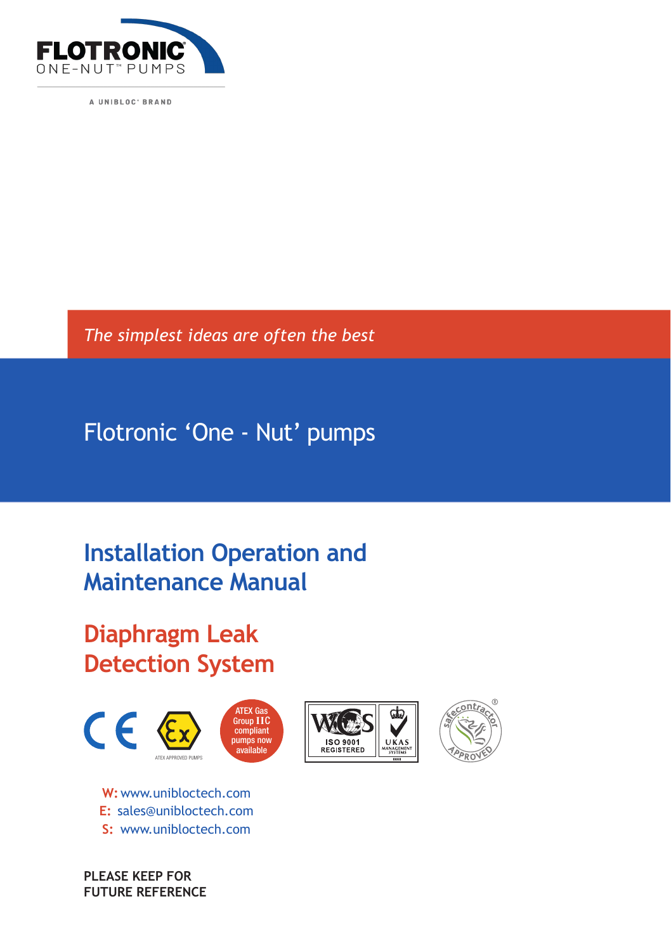

A UNIBLOC' BRAND

*The simplest ideas are often the best*

Flotronic 'One - Nut' pumps

# **Installation Operation and Maintenance Manual**

**Diaphragm Leak Detection System**



**W:**www.unibloctech.com **E:** sales@unibloctech.com **S:** www.unibloctech.com

**PLEASE KEEP FOR FUTURE REFERENCE**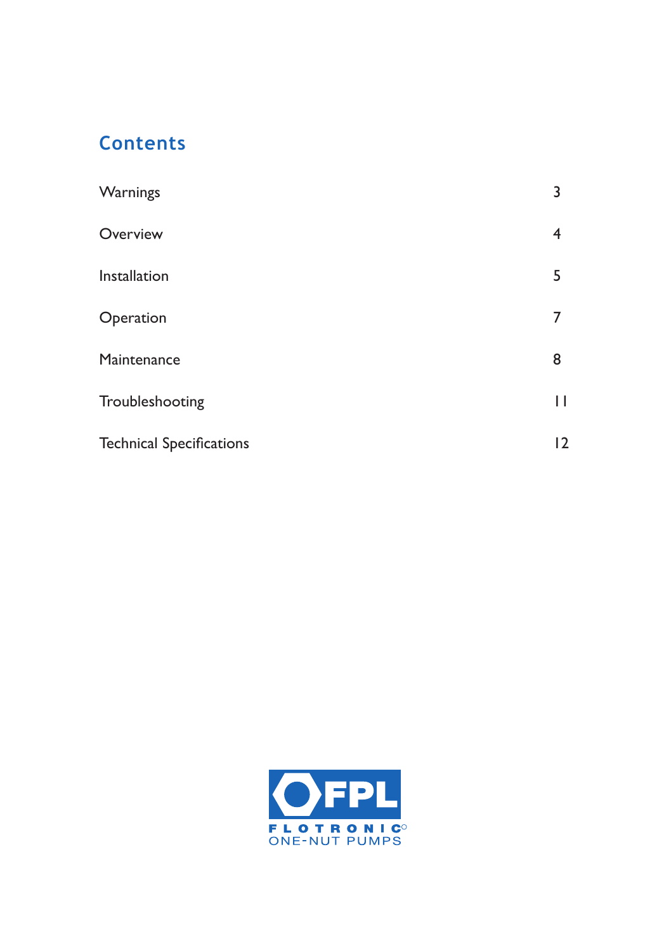### **Contents**

| Warnings                        | 3 |
|---------------------------------|---|
| Overview                        | 4 |
| Installation                    | 5 |
| Operation                       |   |
| Maintenance                     | 8 |
| Troubleshooting                 | П |
| <b>Technical Specifications</b> | 2 |
|                                 |   |

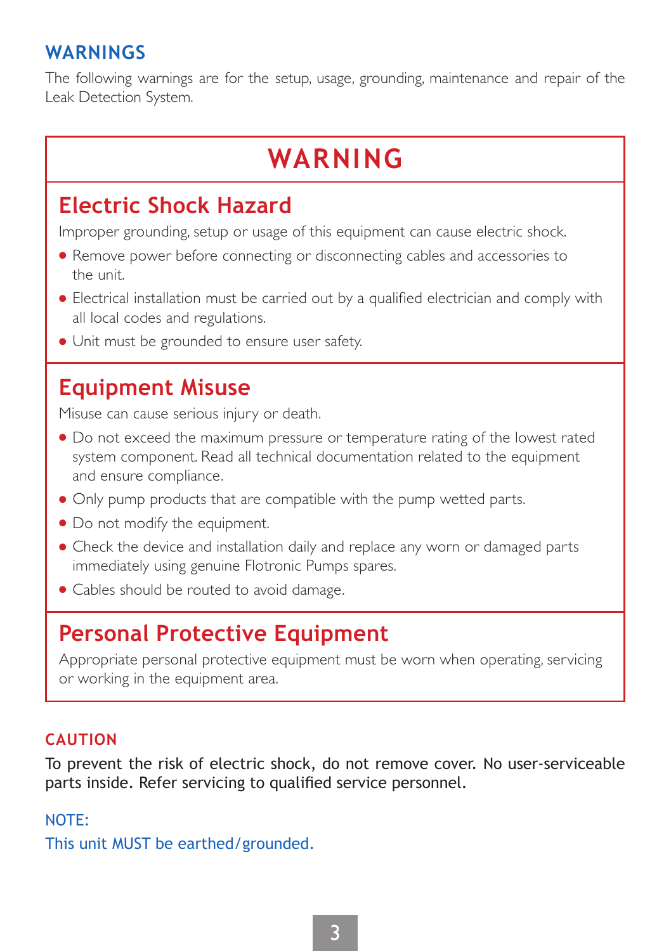### **WARNINGS**

The following warnings are for the setup, usage, grounding, maintenance and repair of the Leak Detection System.

# **WARNING**

# **Electric Shock Hazard**

Improper grounding, setup or usage of this equipment can cause electric shock.

- Remove power before connecting or disconnecting cables and accessories to the unit.
- Electrical installation must be carried out by a qualified electrician and comply with all local codes and regulations.
- Unit must be grounded to ensure user safety.

# **Equipment Misuse**

Misuse can cause serious injury or death.

- Do not exceed the maximum pressure or temperature rating of the lowest rated system component. Read all technical documentation related to the equipment and ensure compliance.
- Only pump products that are compatible with the pump wetted parts.
- Do not modify the equipment.
- Check the device and installation daily and replace any worn or damaged parts immediately using genuine Flotronic Pumps spares.
- Cables should be routed to avoid damage.

# **Personal Protective Equipment**

Appropriate personal protective equipment must be worn when operating, servicing or working in the equipment area.

### **CAUTION**

To prevent the risk of electric shock, do not remove cover. No user-serviceable parts inside. Refer servicing to qualified service personnel.

#### NOTE:

This unit MUST be earthed/grounded.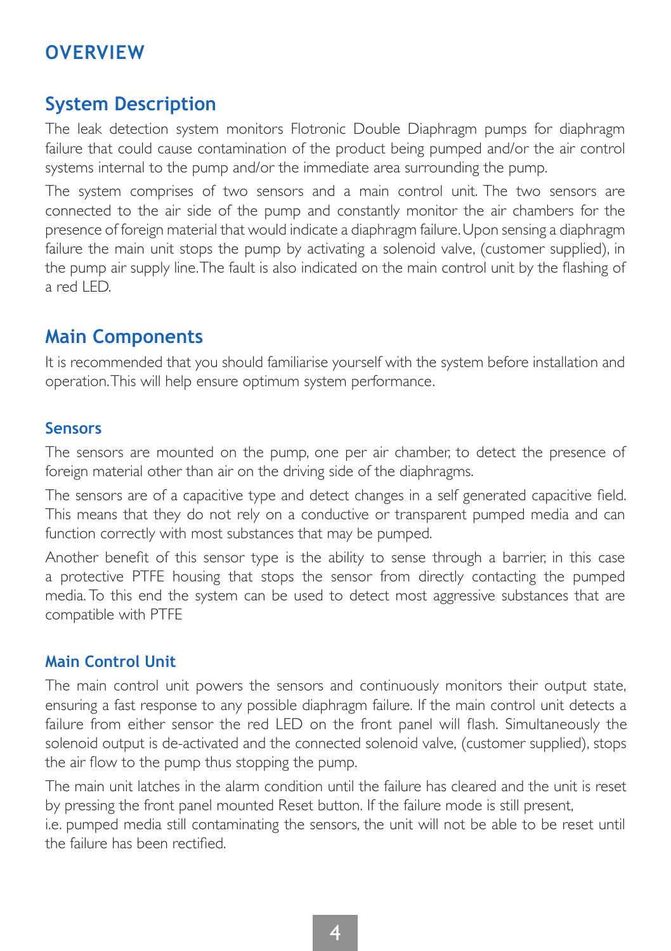### **OVERVIEW**

### **System Description**

The leak detection system monitors Flotronic Double Diaphragm pumps for diaphragm failure that could cause contamination of the product being pumped and/or the air control systems internal to the pump and/or the immediate area surrounding the pump.

The system comprises of two sensors and a main control unit. The two sensors are connected to the air side of the pump and constantly monitor the air chambers for the presence of foreign material that would indicate a diaphragm failure. Upon sensing a diaphragm failure the main unit stops the pump by activating a solenoid valve, (customer supplied), in the pump air supply line. The fault is also indicated on the main control unit by the flashing of a red LED.

### **Main Components**

It is recommended that you should familiarise yourself with the system before installation and operation. This will help ensure optimum system performance.

#### **Sensors**

The sensors are mounted on the pump, one per air chamber, to detect the presence of foreign material other than air on the driving side of the diaphragms.

The sensors are of a capacitive type and detect changes in a self generated capacitive field. This means that they do not rely on a conductive or transparent pumped media and can function correctly with most substances that may be pumped.

Another benefit of this sensor type is the ability to sense through a barrier, in this case a protective PTFE housing that stops the sensor from directly contacting the pumped media. To this end the system can be used to detect most aggressive substances that are compatible with PTFE

#### **Main Control Unit**

The main control unit powers the sensors and continuously monitors their output state, ensuring a fast response to any possible diaphragm failure. If the main control unit detects a failure from either sensor the red LED on the front panel will flash. Simultaneously the solenoid output is de-activated and the connected solenoid valve, (customer supplied), stops the air flow to the pump thus stopping the pump.

The main unit latches in the alarm condition until the failure has cleared and the unit is reset by pressing the front panel mounted Reset button. If the failure mode is still present,

i.e. pumped media still contaminating the sensors, the unit will not be able to be reset until the failure has been rectified.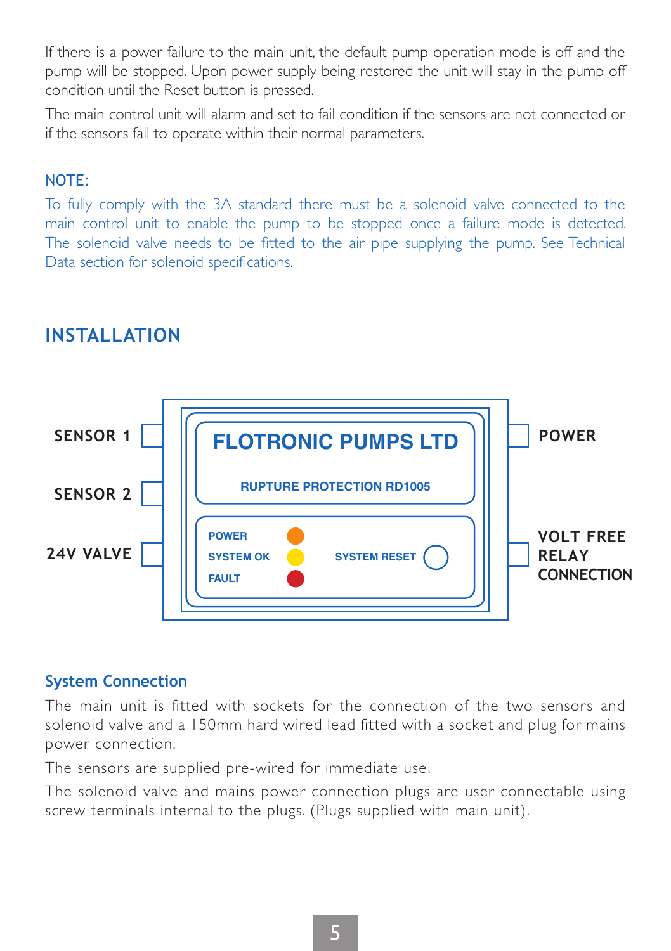If there is a power failure to the main unit, the default pump operation mode is off and the pump will be stopped. Upon power supply being restored the unit will stay in the pump off condition until the Reset button is pressed.

The main control unit will alarm and set to fail condition if the sensors are not connected or if the sensors fail to operate within their normal parameters.

#### NOTE:

To fully comply with the 3A standard there must be a solenoid valve connected to the main control unit to enable the pump to be stopped once a failure mode is detected. The solenoid valve needs to be fitted to the air pipe supplying the pump. See Technical Data section for solenoid specifications.



### **INSTALLATION**

#### **System Connection**

The main unit is fitted with sockets for the connection of the two sensors and solenoid valve and a 150mm hard wired lead fitted with a socket and plug for mains power connection.

The sensors are supplied pre-wired for immediate use.

The solenoid valve and mains power connection plugs are user connectable using screw terminals internal to the plugs. (Plugs supplied with main unit).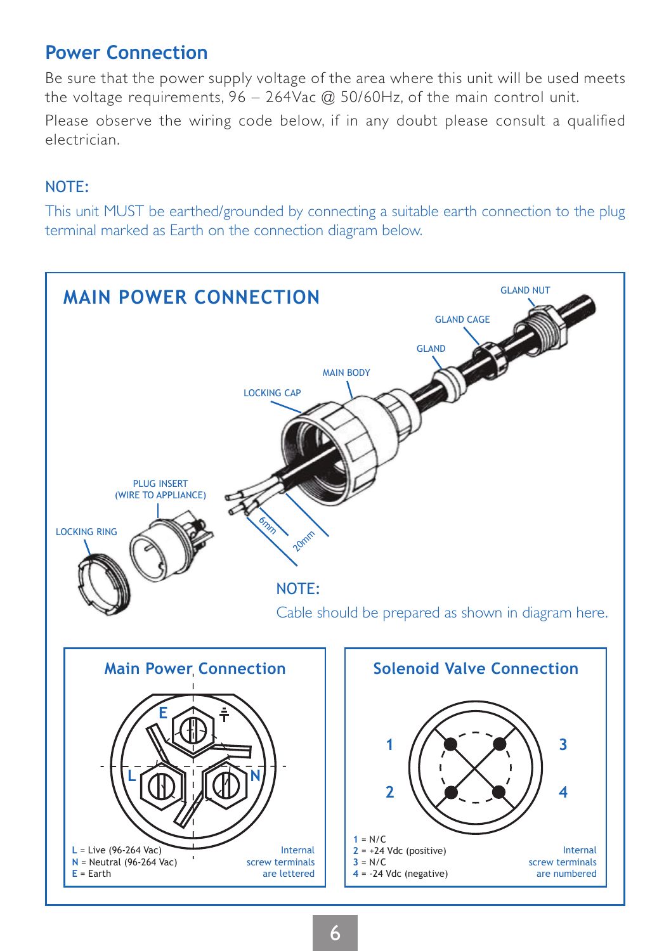### **Power Connection**

Be sure that the power supply voltage of the area where this unit will be used meets the voltage requirements, 96 – 264Vac @ 50/60Hz, of the main control unit.

Please observe the wiring code below, if in any doubt please consult a qualified electrician.

#### NOTE:

This unit MUST be earthed/grounded by connecting a suitable earth connection to the plug terminal marked as Earth on the connection diagram below.

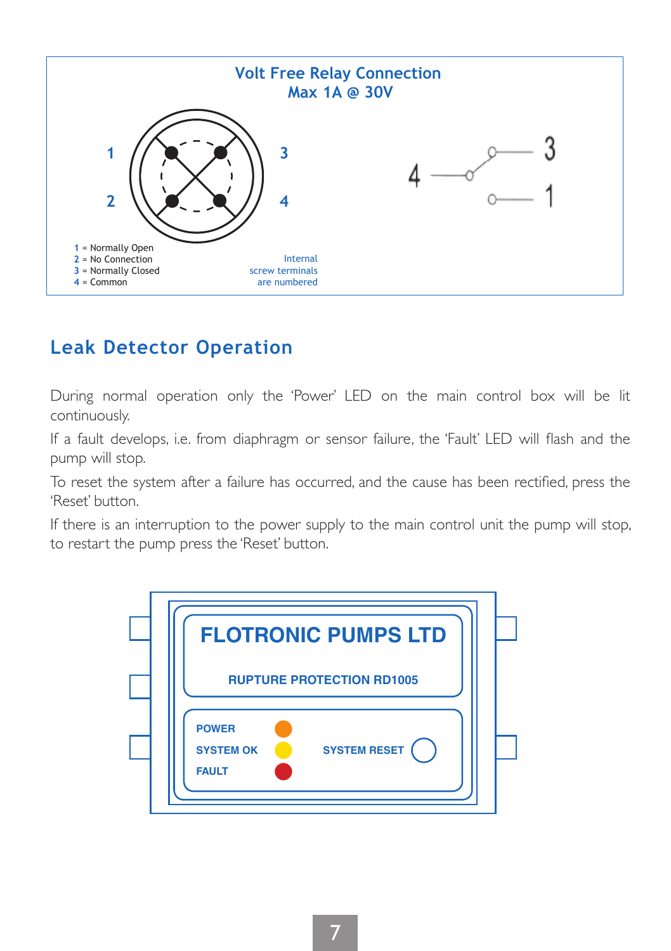

### **Leak Detector Operation**

During normal operation only the 'Power' LED on the main control box will be lit continuously.

If a fault develops, i.e. from diaphragm or sensor failure, the 'Fault' LED will flash and the pump will stop.

To reset the system after a failure has occurred, and the cause has been rectified, press the 'Reset' button.

If there is an interruption to the power supply to the main control unit the pump will stop, to restart the pump press the 'Reset' button.

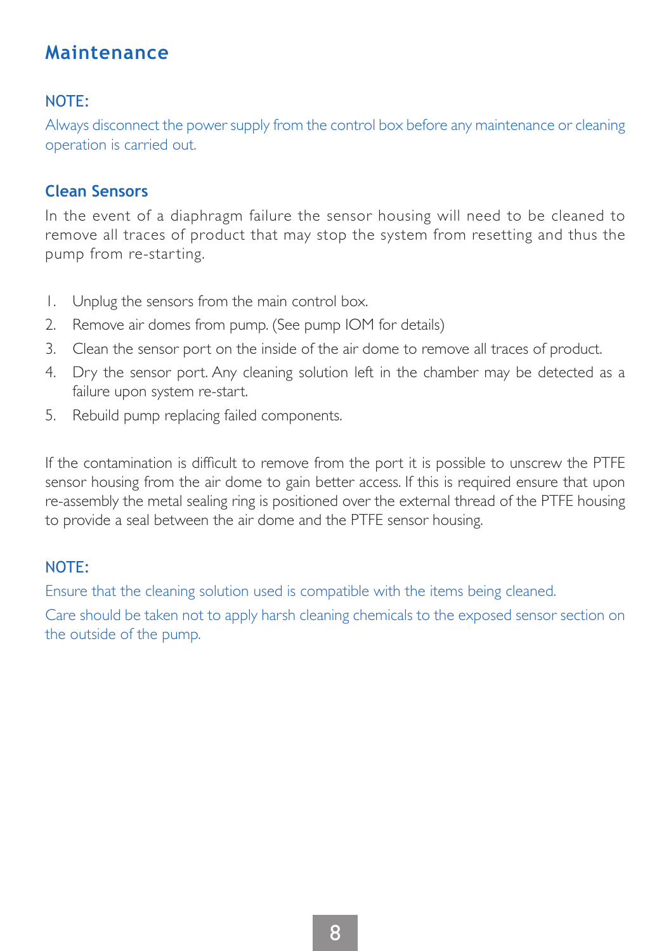### **Maintenance**

### NOTE:

Always disconnect the power supply from the control box before any maintenance or cleaning operation is carried out.

#### **Clean Sensors**

In the event of a diaphragm failure the sensor housing will need to be cleaned to remove all traces of product that may stop the system from resetting and thus the pump from re-starting.

- 1. Unplug the sensors from the main control box.
- 2. Remove air domes from pump. (See pump IOM for details)
- 3. Clean the sensor port on the inside of the air dome to remove all traces of product.
- 4. Dry the sensor port. Any cleaning solution left in the chamber may be detected as a failure upon system re-start.
- 5. Rebuild pump replacing failed components.

If the contamination is difficult to remove from the port it is possible to unscrew the PTFE sensor housing from the air dome to gain better access. If this is required ensure that upon re-assembly the metal sealing ring is positioned over the external thread of the PTFE housing to provide a seal between the air dome and the PTFE sensor housing.

#### NOTE:

Ensure that the cleaning solution used is compatible with the items being cleaned.

Care should be taken not to apply harsh cleaning chemicals to the exposed sensor section on the outside of the pump.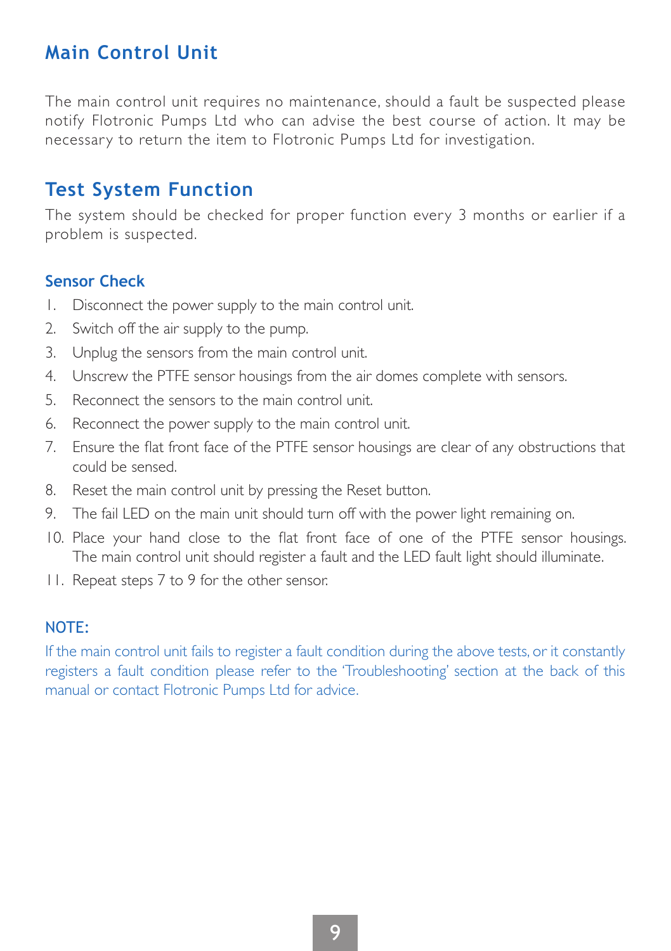### **Main Control Unit**

The main control unit requires no maintenance, should a fault be suspected please notify Flotronic Pumps Ltd who can advise the best course of action. It may be necessary to return the item to Flotronic Pumps Ltd for investigation.

### **Test System Function**

The system should be checked for proper function every 3 months or earlier if a problem is suspected.

#### **Sensor Check**

- 1. Disconnect the power supply to the main control unit.
- 2. Switch off the air supply to the pump.
- 3. Unplug the sensors from the main control unit.
- 4. Unscrew the PTFE sensor housings from the air domes complete with sensors.
- 5. Reconnect the sensors to the main control unit.
- 6. Reconnect the power supply to the main control unit.
- 7. Ensure the flat front face of the PTFE sensor housings are clear of any obstructions that could be sensed.
- 8. Reset the main control unit by pressing the Reset button.
- 9. The fail LED on the main unit should turn off with the power light remaining on.
- 10. Place your hand close to the flat front face of one of the PTFE sensor housings. The main control unit should register a fault and the LED fault light should illuminate.
- 11. Repeat steps 7 to 9 for the other sensor.

#### NOTE:

If the main control unit fails to register a fault condition during the above tests, or it constantly registers a fault condition please refer to the 'Troubleshooting' section at the back of this manual or contact Flotronic Pumps Ltd for advice.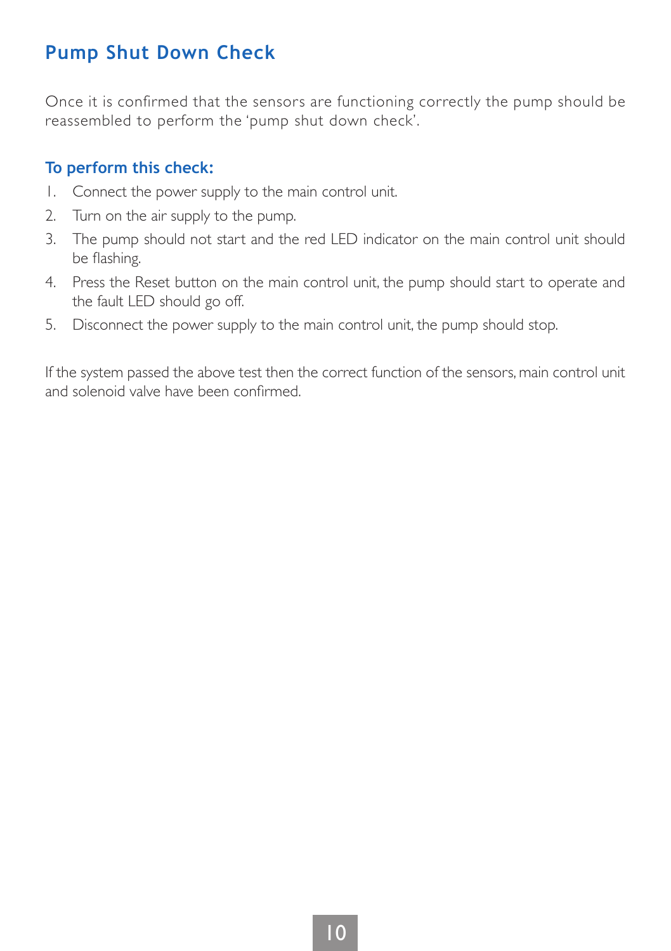### **Pump Shut Down Check**

Once it is confirmed that the sensors are functioning correctly the pump should be reassembled to perform the 'pump shut down check'.

### **To perform this check:**

- 1. Connect the power supply to the main control unit.
- 2. Turn on the air supply to the pump.
- 3. The pump should not start and the red LED indicator on the main control unit should be flashing.
- 4. Press the Reset button on the main control unit, the pump should start to operate and the fault LED should go off.
- 5. Disconnect the power supply to the main control unit, the pump should stop.

If the system passed the above test then the correct function of the sensors, main control unit and solenoid valve have been confirmed.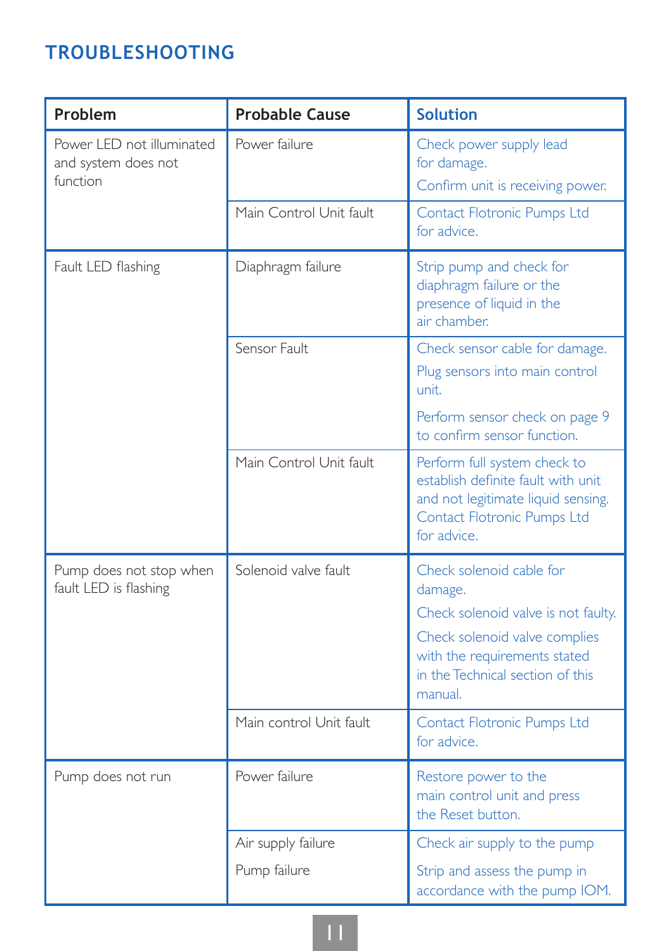# **TROUBLESHOOTING**

| Problem                                                      | <b>Probable Cause</b>   | <b>Solution</b>                                                                                                                                        |
|--------------------------------------------------------------|-------------------------|--------------------------------------------------------------------------------------------------------------------------------------------------------|
| Power LED not illuminated<br>and system does not<br>function | Power failure           | Check power supply lead<br>for damage.<br>Confirm unit is receiving power.                                                                             |
|                                                              | Main Control Unit fault | Contact Flotronic Pumps Ltd<br>for advice.                                                                                                             |
| Fault LED flashing                                           | Diaphragm failure       | Strip pump and check for<br>diaphragm failure or the<br>presence of liquid in the<br>air chamber.                                                      |
|                                                              | Sensor Fault            | Check sensor cable for damage.<br>Plug sensors into main control<br>unit.                                                                              |
|                                                              |                         | Perform sensor check on page 9<br>to confirm sensor function.                                                                                          |
|                                                              | Main Control Unit fault | Perform full system check to<br>establish definite fault with unit<br>and not legitimate liquid sensing.<br>Contact Flotronic Pumps Ltd<br>for advice. |
| Pump does not stop when<br>fault LED is flashing             | Solenoid valve fault.   | Check solenoid cable for<br>damage.                                                                                                                    |
|                                                              |                         | Check solenoid valve is not faulty.                                                                                                                    |
|                                                              |                         | Check solenoid valve complies<br>with the requirements stated<br>in the Technical section of this<br>manual.                                           |
|                                                              | Main control Unit fault | Contact Flotronic Pumps Ltd<br>for advice.                                                                                                             |
| Pump does not run                                            | Power failure           | Restore power to the<br>main control unit and press<br>the Reset button.                                                                               |
|                                                              | Air supply failure      | Check air supply to the pump                                                                                                                           |
|                                                              | Pump failure            | Strip and assess the pump in<br>accordance with the pump IOM.                                                                                          |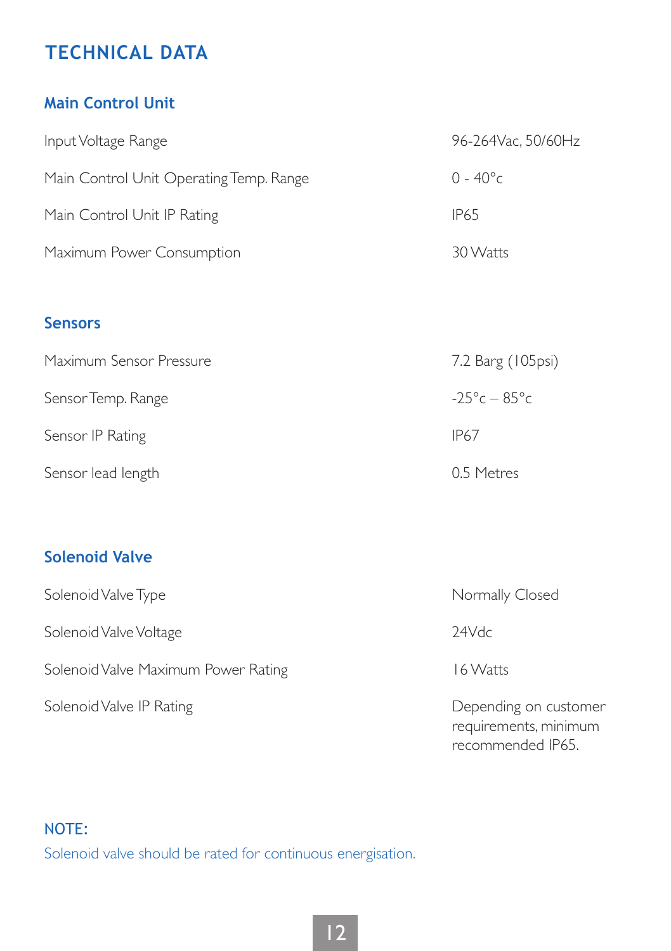## **TECHNICAL DATA**

### **Main Control Unit**

| Input Voltage Range                     | 96-264Vac, 50/60Hz |
|-----------------------------------------|--------------------|
| Main Control Unit Operating Temp. Range | $0 - 40^{\circ}c$  |
| Main Control Unit IP Rating             | IP65               |
| Maximum Power Consumption               | 30 Watts           |

### **Sensors**

| Maximum Sensor Pressure | 7.2 Barg (105psi)            |
|-------------------------|------------------------------|
| Sensor Temp. Range      | $-25^{\circ}c - 85^{\circ}c$ |
| Sensor IP Rating        | IP67                         |
| Sensor lead length      | 0.5 Metres                   |

### **Solenoid Valve**

| Solenoid Valve Type                 | Normally Closed                                |
|-------------------------------------|------------------------------------------------|
| Solenoid Valve Voltage              | 24Vdc                                          |
| Solenoid Valve Maximum Power Rating | 16 Watts                                       |
| Solenoid Valve IP Rating            | Depending on customer<br>requirements, minimum |

recommended IP65.

### NOTE:

Solenoid valve should be rated for continuous energisation.